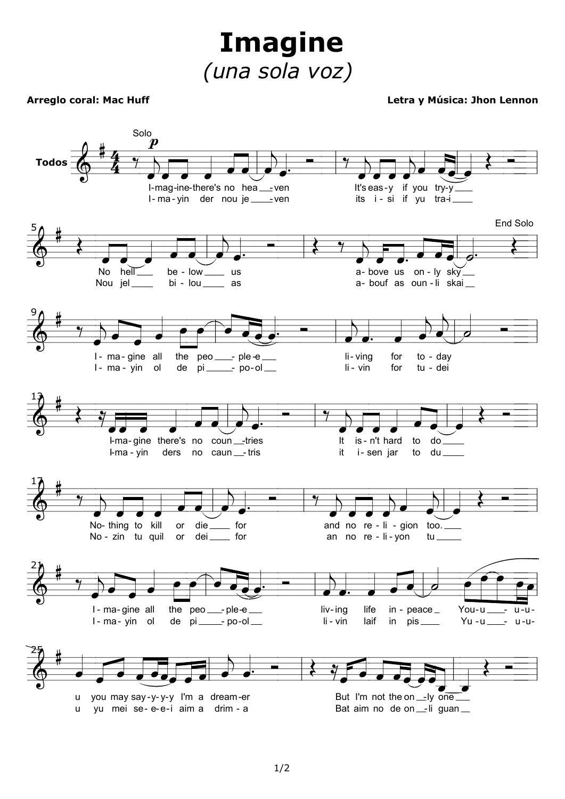**Imagine** (una sola voz)

## **Arreglo coral: Mac Huff**

## Letra y Música: Jhon Lennon